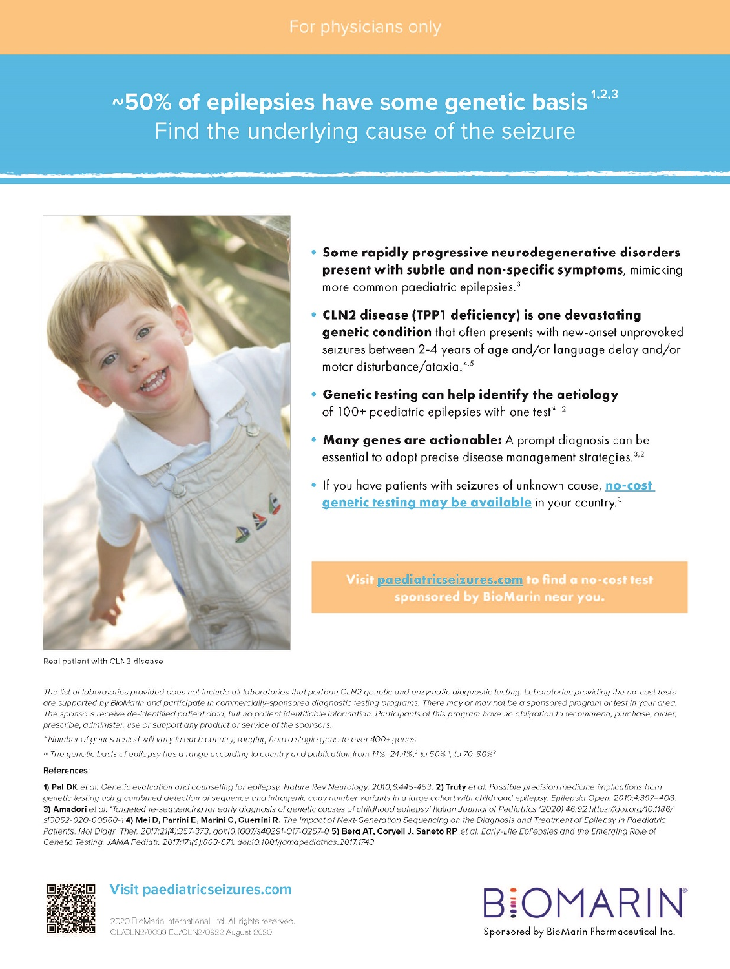# $\sim$ 50% of epilepsies have some genetic basis  $^{1,2,3}$ Find the underlying cause of the seizure



Real patient with CLN2 disease

- Some rapidly progressive neurodegenerative disorders present with subtle and non-specific symptoms, mimicking more common paediatric epilepsies.<sup>3</sup>
- CLN2 disease (TPP1 deficiency) is one devastating genetic condition that often presents with new-onset unprovoked seizures between 2-4 years of age and/or language delay and/or motor disturbance/ataxia.<sup>4,5</sup>
- . Genetic testing can help identify the aetiology of 100+ paediatric epilepsies with one test\* 2
- . Many genes are actionable: A prompt diagnosis can be essential to adopt precise disease management strategies.<sup>3,2</sup>
- . If you have patients with seizures of unknown cause, no-cost genetic testing may be available in your country.<sup>3</sup>

Visit paediatricseizures.com to find a no-cost test sponsored by BioMarin near you.

The list of laboratories provided does not include all laboratories that perform CLN2 genetic and enzymatic diagnostic testing. Laboratories providing the no-cost tests are supported by BioMarin and participate in commercially-sponsored diagnostic testing programs. There may or may not be a sponsored program or test in your area. The sponsors receive de-identified patient data, but no patient identifiable information. Participants of this program have no obligation to recommend, purchase, order, prescribe, administer, use or support any product or service of the sponsors.

\* Number of genes tested will vary in each country, ranging from a single gene to over 400+ genes

~ The genetic basis of epilepsy has a range according to country and publication from 14% -24.4%,<sup>2</sup> to 50% 1, to 70-80%<sup>3</sup>

#### References:

1) Pal DK et al. Genetic evaluation and counseling for epilepsy. Nature Rev Neurology. 2010;6:445-453. 2) Truty et al. Possible precision medicine implications from genetic testing using combined detection of sequence and intragenic copy number variants in a large cohort with childhood epilepsy. Epilepsia Open. 2019;4:397-408. 3) Amadori et al. 'Targeted re-sequencing for early diagnosis of genetic causes of childhood epilepsy' Italian Journal of Pediatrics (2020) 46:92 https://doi.org/10.1186/ s13052-020-00860-14) Mei D, Parrini E, Marini C, Guerrini R. The Impact of Next-Generation Sequencing on the Diagnosis and Treatment of Epilepsy in Paediatric Patients. Mol Diagn Ther. 2017;21(4):357-373. doi:10.1007/s40291-017-0257-0 5) Berg AT, Coryell J, Saneto RP. et al. Early-Life Epilepsies and the Emerging Role of Genetic Testing. JAMA Pediatr. 2017;171(9):863-871. doi:10.1001/jamapediatrics.2017.1743



## **Visit paediatricseizures.com**



2020 BioMarin International Ltd. All rights reserved GL/CLN2/0033 EU/CLN2/0922 August 2020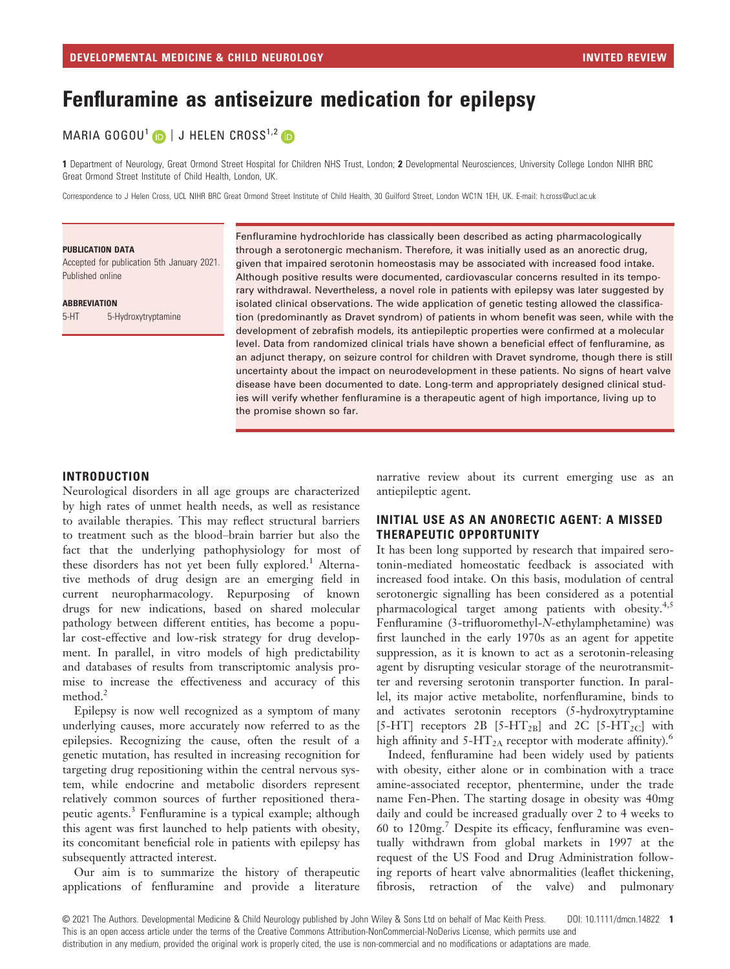# Fenfluramine as antiseizure medication for epilepsy

## MARIA GOGOU<sup>1</sup> D | J HELEN CROSS<sup>1,2</sup> D

1 Department of Neurology, Great Ormond Street Hospital for Children NHS Trust, London; 2 Developmental Neurosciences, University College London NIHR BRC Great Ormond Street Institute of Child Health, London, UK.

Correspondence to J Helen Cross, UCL NIHR BRC Great Ormond Street Institute of Child Health, 30 Guilford Street, London WC1N 1EH, UK. E-mail: [h.cross@ucl.ac.uk](mailto:)

#### PUBLICATION DATA

Accepted for publication 5th January 2021. Published online

**ABBREVIATION** 

5-HT 5-Hydroxytryptamine

Fenfluramine hydrochloride has classically been described as acting pharmacologically through a serotonergic mechanism. Therefore, it was initially used as an anorectic drug, given that impaired serotonin homeostasis may be associated with increased food intake. Although positive results were documented, cardiovascular concerns resulted in its temporary withdrawal. Nevertheless, a novel role in patients with epilepsy was later suggested by isolated clinical observations. The wide application of genetic testing allowed the classification (predominantly as Dravet syndrom) of patients in whom benefit was seen, while with the development of zebrafish models, its antiepileptic properties were confirmed at a molecular level. Data from randomized clinical trials have shown a beneficial effect of fenfluramine, as an adjunct therapy, on seizure control for children with Dravet syndrome, though there is still uncertainty about the impact on neurodevelopment in these patients. No signs of heart valve disease have been documented to date. Long-term and appropriately designed clinical studies will verify whether fenfluramine is a therapeutic agent of high importance, living up to the promise shown so far.

#### INTRODUCTION

Neurological disorders in all age groups are characterized by high rates of unmet health needs, as well as resistance to available therapies. This may reflect structural barriers to treatment such as the blood–brain barrier but also the fact that the underlying pathophysiology for most of these disorders has not yet been fully explored.<sup>1</sup> Alternative methods of drug design are an emerging field in current neuropharmacology. Repurposing of known drugs for new indications, based on shared molecular pathology between different entities, has become a popular cost-effective and low-risk strategy for drug development. In parallel, in vitro models of high predictability and databases of results from transcriptomic analysis promise to increase the effectiveness and accuracy of this method.<sup>2</sup>

Epilepsy is now well recognized as a symptom of many underlying causes, more accurately now referred to as the epilepsies. Recognizing the cause, often the result of a genetic mutation, has resulted in increasing recognition for targeting drug repositioning within the central nervous system, while endocrine and metabolic disorders represent relatively common sources of further repositioned therapeutic agents.<sup>3</sup> Fenfluramine is a typical example; although this agent was first launched to help patients with obesity, its concomitant beneficial role in patients with epilepsy has subsequently attracted interest.

Our aim is to summarize the history of therapeutic applications of fenfluramine and provide a literature

narrative review about its current emerging use as an antiepileptic agent.

#### INITIAL USE AS AN ANORECTIC AGENT: A MISSED THERAPEUTIC OPPORTUNITY

It has been long supported by research that impaired serotonin-mediated homeostatic feedback is associated with increased food intake. On this basis, modulation of central serotonergic signalling has been considered as a potential pharmacological target among patients with obesity.<sup>4,5</sup> Fenfluramine (3-trifluoromethyl-N-ethylamphetamine) was first launched in the early 1970s as an agent for appetite suppression, as it is known to act as a serotonin-releasing agent by disrupting vesicular storage of the neurotransmitter and reversing serotonin transporter function. In parallel, its major active metabolite, norfenfluramine, binds to and activates serotonin receptors (5-hydroxytryptamine [5-HT] receptors 2B [5-HT<sub>2B</sub>] and 2C [5-HT<sub>2C</sub>] with high affinity and  $5-HT_{2A}$  receptor with moderate affinity).<sup>6</sup>

Indeed, fenfluramine had been widely used by patients with obesity, either alone or in combination with a trace amine-associated receptor, phentermine, under the trade name Fen-Phen. The starting dosage in obesity was 40mg daily and could be increased gradually over 2 to 4 weeks to 60 to 120mg.<sup>7</sup> Despite its efficacy, fenfluramine was eventually withdrawn from global markets in 1997 at the request of the US Food and Drug Administration following reports of heart valve abnormalities (leaflet thickening, fibrosis, retraction of the valve) and pulmonary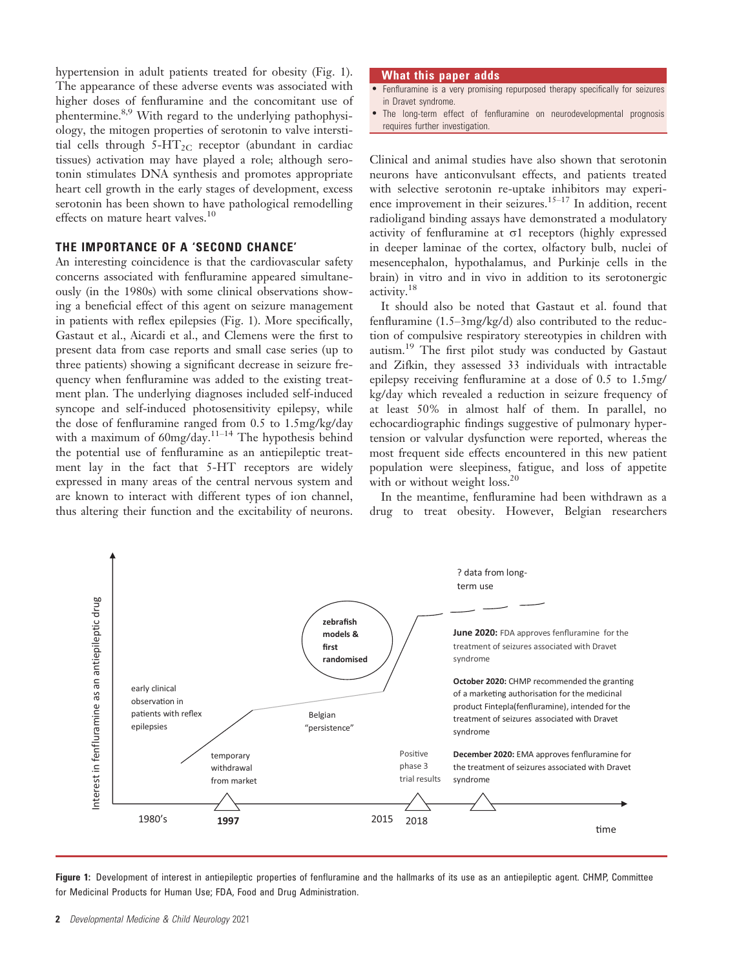hypertension in adult patients treated for obesity (Fig. 1). The appearance of these adverse events was associated with higher doses of fenfluramine and the concomitant use of phentermine.<sup>8,9</sup> With regard to the underlying pathophysiology, the mitogen properties of serotonin to valve interstitial cells through  $5-\text{HT}_{2C}$  receptor (abundant in cardiac tissues) activation may have played a role; although serotonin stimulates DNA synthesis and promotes appropriate heart cell growth in the early stages of development, excess serotonin has been shown to have pathological remodelling effects on mature heart valves.<sup>10</sup>

## THE IMPORTANCE OF A 'SECOND CHANCE'

An interesting coincidence is that the cardiovascular safety concerns associated with fenfluramine appeared simultaneously (in the 1980s) with some clinical observations showing a beneficial effect of this agent on seizure management in patients with reflex epilepsies (Fig. 1). More specifically, Gastaut et al., Aicardi et al., and Clemens were the first to present data from case reports and small case series (up to three patients) showing a significant decrease in seizure frequency when fenfluramine was added to the existing treatment plan. The underlying diagnoses included self-induced syncope and self-induced photosensitivity epilepsy, while the dose of fenfluramine ranged from 0.5 to 1.5mg/kg/day with a maximum of  $60$ mg/day.<sup>11-14</sup> The hypothesis behind the potential use of fenfluramine as an antiepileptic treatment lay in the fact that 5-HT receptors are widely expressed in many areas of the central nervous system and are known to interact with different types of ion channel, thus altering their function and the excitability of neurons.

#### What this paper adds

- Fenfluramine is a very promising repurposed therapy specifically for seizures in Dravet syndrome.
- The long-term effect of fenfluramine on neurodevelopmental prognosis requires further investigation.

Clinical and animal studies have also shown that serotonin neurons have anticonvulsant effects, and patients treated with selective serotonin re-uptake inhibitors may experience improvement in their seizures.<sup>15–17</sup> In addition, recent radioligand binding assays have demonstrated a modulatory activity of fenfluramine at  $\sigma$ 1 receptors (highly expressed in deeper laminae of the cortex, olfactory bulb, nuclei of mesencephalon, hypothalamus, and Purkinje cells in the brain) in vitro and in vivo in addition to its serotonergic activity.<sup>18</sup>

It should also be noted that Gastaut et al. found that fenfluramine (1.5–3mg/kg/d) also contributed to the reduction of compulsive respiratory stereotypies in children with autism.<sup>19</sup> The first pilot study was conducted by Gastaut and Zifkin, they assessed 33 individuals with intractable epilepsy receiving fenfluramine at a dose of 0.5 to 1.5mg/ kg/day which revealed a reduction in seizure frequency of at least 50% in almost half of them. In parallel, no echocardiographic findings suggestive of pulmonary hypertension or valvular dysfunction were reported, whereas the most frequent side effects encountered in this new patient population were sleepiness, fatigue, and loss of appetite with or without weight loss.<sup>20</sup>

In the meantime, fenfluramine had been withdrawn as a drug to treat obesity. However, Belgian researchers



Figure 1: Development of interest in antiepileptic properties of fenfluramine and the hallmarks of its use as an antiepileptic agent. CHMP, Committee for Medicinal Products for Human Use; FDA, Food and Drug Administration.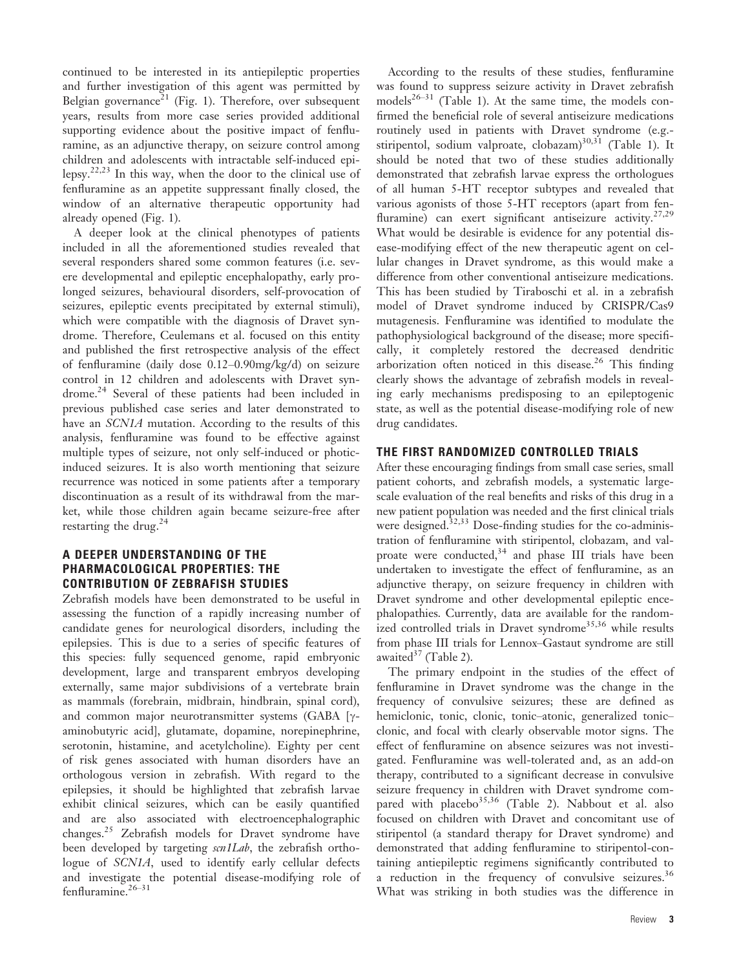continued to be interested in its antiepileptic properties and further investigation of this agent was permitted by Belgian governance<sup>21</sup> (Fig. 1). Therefore, over subsequent years, results from more case series provided additional supporting evidence about the positive impact of fenfluramine, as an adjunctive therapy, on seizure control among children and adolescents with intractable self-induced epilepsy.<sup>22,23</sup> In this way, when the door to the clinical use of fenfluramine as an appetite suppressant finally closed, the window of an alternative therapeutic opportunity had already opened (Fig. 1).

A deeper look at the clinical phenotypes of patients included in all the aforementioned studies revealed that several responders shared some common features (i.e. severe developmental and epileptic encephalopathy, early prolonged seizures, behavioural disorders, self-provocation of seizures, epileptic events precipitated by external stimuli), which were compatible with the diagnosis of Dravet syndrome. Therefore, Ceulemans et al. focused on this entity and published the first retrospective analysis of the effect of fenfluramine (daily dose 0.12–0.90mg/kg/d) on seizure control in 12 children and adolescents with Dravet syndrome.<sup>24</sup> Several of these patients had been included in previous published case series and later demonstrated to have an *SCN1A* mutation. According to the results of this analysis, fenfluramine was found to be effective against multiple types of seizure, not only self-induced or photicinduced seizures. It is also worth mentioning that seizure recurrence was noticed in some patients after a temporary discontinuation as a result of its withdrawal from the market, while those children again became seizure-free after restarting the drug.<sup>24</sup>

### A DEEPER UNDERSTANDING OF THE PHARMACOLOGICAL PROPERTIES: THE CONTRIBUTION OF ZEBRAFISH STUDIES

Zebrafish models have been demonstrated to be useful in assessing the function of a rapidly increasing number of candidate genes for neurological disorders, including the epilepsies. This is due to a series of specific features of this species: fully sequenced genome, rapid embryonic development, large and transparent embryos developing externally, same major subdivisions of a vertebrate brain as mammals (forebrain, midbrain, hindbrain, spinal cord), and common major neurotransmitter systems (GABA [ $\gamma$ aminobutyric acid], glutamate, dopamine, norepinephrine, serotonin, histamine, and acetylcholine). Eighty per cent of risk genes associated with human disorders have an orthologous version in zebrafish. With regard to the epilepsies, it should be highlighted that zebrafish larvae exhibit clinical seizures, which can be easily quantified and are also associated with electroencephalographic changes.<sup>25</sup> Zebrafish models for Dravet syndrome have been developed by targeting scn1Lab, the zebrafish orthologue of SCN1A, used to identify early cellular defects and investigate the potential disease-modifying role of  $f$ enfluramine.<sup>26–31</sup>

According to the results of these studies, fenfluramine was found to suppress seizure activity in Dravet zebrafish models<sup>26–31</sup> (Table 1). At the same time, the models confirmed the beneficial role of several antiseizure medications routinely used in patients with Dravet syndrome (e.g. stiripentol, sodium valproate, clobazam)<sup>30,31</sup> (Table 1). It should be noted that two of these studies additionally demonstrated that zebrafish larvae express the orthologues of all human 5-HT receptor subtypes and revealed that various agonists of those 5-HT receptors (apart from fenfluramine) can exert significant antiseizure activity.<sup>27,29</sup> What would be desirable is evidence for any potential disease-modifying effect of the new therapeutic agent on cellular changes in Dravet syndrome, as this would make a difference from other conventional antiseizure medications. This has been studied by Tiraboschi et al. in a zebrafish model of Dravet syndrome induced by CRISPR/Cas9 mutagenesis. Fenfluramine was identified to modulate the pathophysiological background of the disease; more specifically, it completely restored the decreased dendritic arborization often noticed in this disease.<sup>26</sup> This finding clearly shows the advantage of zebrafish models in revealing early mechanisms predisposing to an epileptogenic state, as well as the potential disease-modifying role of new drug candidates.

### THE FIRST RANDOMIZED CONTROLLED TRIALS

After these encouraging findings from small case series, small patient cohorts, and zebrafish models, a systematic largescale evaluation of the real benefits and risks of this drug in a new patient population was needed and the first clinical trials were designed. $32,33$  Dose-finding studies for the co-administration of fenfluramine with stiripentol, clobazam, and valproate were conducted, $34$  and phase III trials have been undertaken to investigate the effect of fenfluramine, as an adjunctive therapy, on seizure frequency in children with Dravet syndrome and other developmental epileptic encephalopathies. Currently, data are available for the randomized controlled trials in Dravet syndrome<sup>35,36</sup> while results from phase III trials for Lennox–Gastaut syndrome are still awaited $37$  (Table 2).

The primary endpoint in the studies of the effect of fenfluramine in Dravet syndrome was the change in the frequency of convulsive seizures; these are defined as hemiclonic, tonic, clonic, tonic–atonic, generalized tonic– clonic, and focal with clearly observable motor signs. The effect of fenfluramine on absence seizures was not investigated. Fenfluramine was well-tolerated and, as an add-on therapy, contributed to a significant decrease in convulsive seizure frequency in children with Dravet syndrome compared with placebo<sup>35,36</sup> (Table 2). Nabbout et al. also focused on children with Dravet and concomitant use of stiripentol (a standard therapy for Dravet syndrome) and demonstrated that adding fenfluramine to stiripentol-containing antiepileptic regimens significantly contributed to a reduction in the frequency of convulsive seizures.<sup>36</sup> What was striking in both studies was the difference in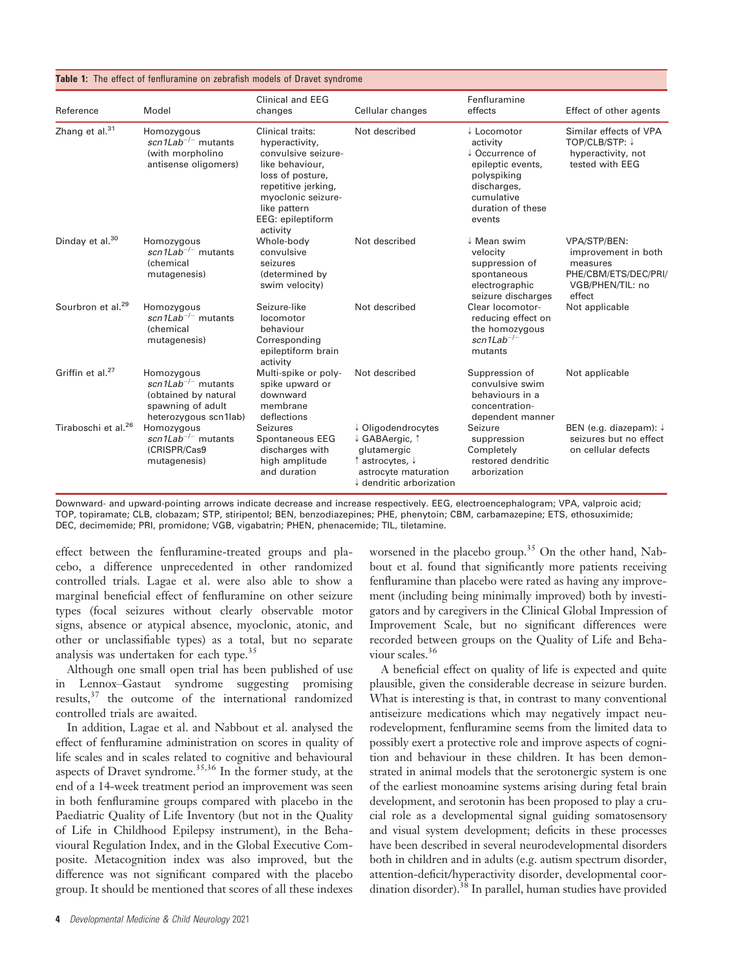|  |  |  |  |  |  | <b>Table 1:</b> The effect of fenfluramine on zebrafish models of Dravet syndrome |
|--|--|--|--|--|--|-----------------------------------------------------------------------------------|
|--|--|--|--|--|--|-----------------------------------------------------------------------------------|

| Reference                       | Model                                                                                                                                     | <b>Clinical and EEG</b><br>changes                                                                                                                                                             | Cellular changes                                                                                                                      | Fenfluramine<br>effects                                                                                                                               | Effect of other agents                                                                                |
|---------------------------------|-------------------------------------------------------------------------------------------------------------------------------------------|------------------------------------------------------------------------------------------------------------------------------------------------------------------------------------------------|---------------------------------------------------------------------------------------------------------------------------------------|-------------------------------------------------------------------------------------------------------------------------------------------------------|-------------------------------------------------------------------------------------------------------|
| Zhang et al. <sup>31</sup>      | Homozygous<br>$\frac{\text{scn1} \text{Lab}^{-/-}}{\text{mutants}}$<br>(with morpholino<br>antisense oligomers)                           | Clinical traits:<br>hyperactivity,<br>convulsive seizure-<br>like behaviour,<br>loss of posture,<br>repetitive jerking,<br>myoclonic seizure-<br>like pattern<br>EEG: epileptiform<br>activity | Not described                                                                                                                         | $\downarrow$ Locomotor<br>activity<br>↓ Occurrence of<br>epileptic events,<br>polyspiking<br>discharges,<br>cumulative<br>duration of these<br>events | Similar effects of VPA<br>TOP/CLB/STP: ↓<br>hyperactivity, not<br>tested with EEG                     |
| Dinday et al. $30$              | Homozygous<br>scn1Lab <sup>-/-</sup> mutants<br><b>(chemical</b><br>mutagenesis)                                                          | Whole-body<br>convulsive<br>seizures<br>(determined by<br>swim velocity)                                                                                                                       | Not described                                                                                                                         | $\downarrow$ Mean swim<br>velocity<br>suppression of<br>spontaneous<br>electrographic<br>seizure discharges                                           | VPA/STP/BEN:<br>improvement in both<br>measures<br>PHE/CBM/ETS/DEC/PRI/<br>VGB/PHEN/TIL: no<br>effect |
| Sourbron et al. <sup>29</sup>   | Homozygous<br>$\sin 1$ Lab <sup>-/-</sup> mutants<br><b>(chemical</b><br>mutagenesis)                                                     | Seizure-like<br>locomotor<br>behaviour<br>Corresponding<br>epileptiform brain<br>activity                                                                                                      | Not described                                                                                                                         | Clear locomotor-<br>reducing effect on<br>the homozygous<br>$\textit{scn1Lab}^{-/-}$<br>mutants                                                       | Not applicable                                                                                        |
| Griffin et al. <sup>27</sup>    | Homozygous<br>$\frac{\text{scn1} \text{Lab}^{-/-}}{\text{mutants}}$<br>(obtained by natural<br>spawning of adult<br>heterozygous scn1lab) | Multi-spike or poly-<br>spike upward or<br>downward<br>membrane<br>deflections                                                                                                                 | Not described                                                                                                                         | Suppression of<br>convulsive swim<br>behaviours in a<br>concentration-<br>dependent manner                                                            | Not applicable                                                                                        |
| Tiraboschi et al. <sup>26</sup> | Homozygous<br>$\sin 1$ Lab <sup>-/-</sup> mutants<br>(CRISPR/Cas9<br>mutagenesis)                                                         | Seizures<br>Spontaneous EEG<br>discharges with<br>high amplitude<br>and duration                                                                                                               | ↓ Oligodendrocytes<br>↓ GABAergic, ↑<br>glutamergic<br>↑ astrocytes, ↓<br>astrocyte maturation<br>$\downarrow$ dendritic arborization | Seizure<br>suppression<br>Completely<br>restored dendritic<br>arborization                                                                            | BEN (e.g. diazepam): ↓<br>seizures but no effect<br>on cellular defects                               |

Downward- and upward-pointing arrows indicate decrease and increase respectively. EEG, electroencephalogram; VPA, valproic acid; TOP, topiramate; CLB, clobazam; STP, stiripentol; BEN, benzodiazepines; PHE, phenytoin; CBM, carbamazepine; ETS, ethosuximide; DEC, decimemide; PRI, promidone; VGB, vigabatrin; PHEN, phenacemide; TIL, tiletamine.

effect between the fenfluramine-treated groups and placebo, a difference unprecedented in other randomized controlled trials. Lagae et al. were also able to show a marginal beneficial effect of fenfluramine on other seizure types (focal seizures without clearly observable motor signs, absence or atypical absence, myoclonic, atonic, and other or unclassifiable types) as a total, but no separate analysis was undertaken for each type.<sup>35</sup>

Although one small open trial has been published of use in Lennox–Gastaut syndrome suggesting promising results,37 the outcome of the international randomized controlled trials are awaited.

In addition, Lagae et al. and Nabbout et al. analysed the effect of fenfluramine administration on scores in quality of life scales and in scales related to cognitive and behavioural aspects of Dravet syndrome.<sup>35,36</sup> In the former study, at the end of a 14-week treatment period an improvement was seen in both fenfluramine groups compared with placebo in the Paediatric Quality of Life Inventory (but not in the Quality of Life in Childhood Epilepsy instrument), in the Behavioural Regulation Index, and in the Global Executive Composite. Metacognition index was also improved, but the difference was not significant compared with the placebo group. It should be mentioned that scores of all these indexes

worsened in the placebo group.<sup>35</sup> On the other hand, Nabbout et al. found that significantly more patients receiving fenfluramine than placebo were rated as having any improvement (including being minimally improved) both by investigators and by caregivers in the Clinical Global Impression of Improvement Scale, but no significant differences were recorded between groups on the Quality of Life and Behaviour scales.<sup>36</sup>

A beneficial effect on quality of life is expected and quite plausible, given the considerable decrease in seizure burden. What is interesting is that, in contrast to many conventional antiseizure medications which may negatively impact neurodevelopment, fenfluramine seems from the limited data to possibly exert a protective role and improve aspects of cognition and behaviour in these children. It has been demonstrated in animal models that the serotonergic system is one of the earliest monoamine systems arising during fetal brain development, and serotonin has been proposed to play a crucial role as a developmental signal guiding somatosensory and visual system development; deficits in these processes have been described in several neurodevelopmental disorders both in children and in adults (e.g. autism spectrum disorder, attention-deficit/hyperactivity disorder, developmental coordination disorder).<sup>38</sup> In parallel, human studies have provided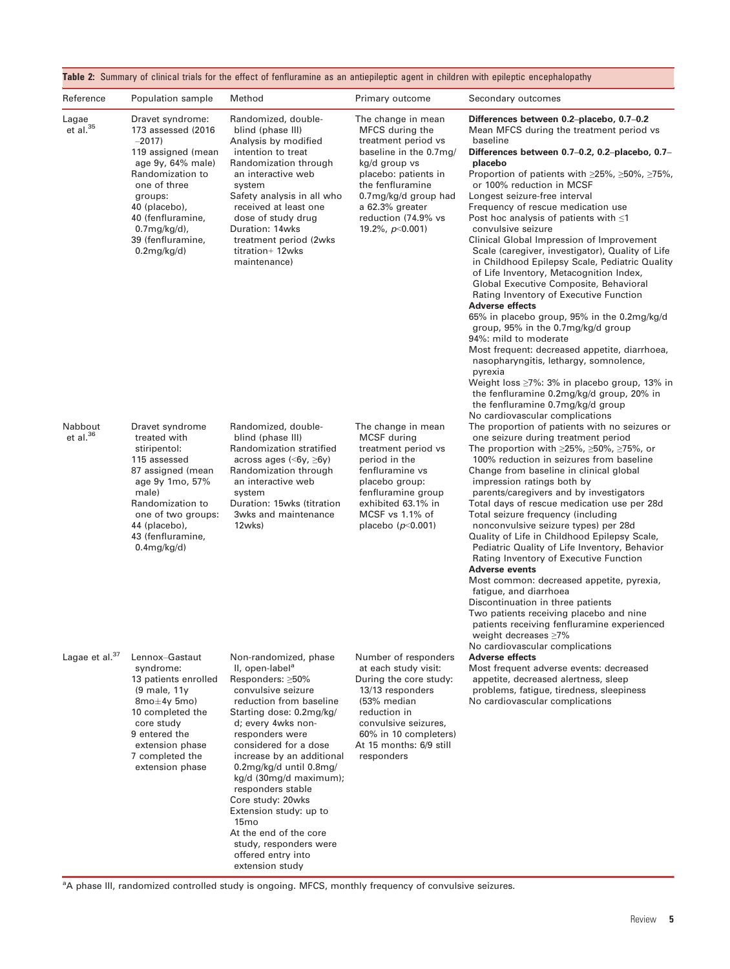| Reference                  | Population sample                                                                                                                                                                                                                                  | Method                                                                                                                                                                                                                                                                                                                                                                                                                                                                         | Primary outcome                                                                                                                                                                                                                             | Secondary outcomes                                                                                                                                                                                                                                                                                                                                                                                                                                                                                                                                                                                                                                                                                                                                                                                                                                                                                                                                                                                                                                                          |
|----------------------------|----------------------------------------------------------------------------------------------------------------------------------------------------------------------------------------------------------------------------------------------------|--------------------------------------------------------------------------------------------------------------------------------------------------------------------------------------------------------------------------------------------------------------------------------------------------------------------------------------------------------------------------------------------------------------------------------------------------------------------------------|---------------------------------------------------------------------------------------------------------------------------------------------------------------------------------------------------------------------------------------------|-----------------------------------------------------------------------------------------------------------------------------------------------------------------------------------------------------------------------------------------------------------------------------------------------------------------------------------------------------------------------------------------------------------------------------------------------------------------------------------------------------------------------------------------------------------------------------------------------------------------------------------------------------------------------------------------------------------------------------------------------------------------------------------------------------------------------------------------------------------------------------------------------------------------------------------------------------------------------------------------------------------------------------------------------------------------------------|
| Lagae<br>$et$ al. $35$     | Dravet syndrome:<br>173 assessed (2016)<br>$-2017$<br>119 assigned (mean<br>age $9y$ , $64\%$ male)<br>Randomization to<br>one of three<br>groups:<br>40 (placebo),<br>40 (fenfluramine,<br>$0.7$ mg/kg/d),<br>39 (fenfluramine,<br>$0.2$ mg/kg/d) | Randomized, double-<br>blind (phase III)<br>Analysis by modified<br>intention to treat<br>Randomization through<br>an interactive web<br>system<br>Safety analysis in all who<br>received at least one<br>dose of study drug<br>Duration: 14wks<br>treatment period (2wks)<br>titration+ 12wks<br>maintenance)                                                                                                                                                                 | The change in mean<br>MFCS during the<br>treatment period vs<br>baseline in the 0.7mg/<br>kg/d group vs<br>placebo: patients in<br>the fenfluramine<br>0.7mg/kg/d group had<br>a 62.3% greater<br>reduction (74.9% vs<br>19.2%, $p<0.001$ ) | Differences between 0.2-placebo, 0.7-0.2<br>Mean MFCS during the treatment period vs<br>baseline<br>Differences between 0.7-0.2, 0.2-placebo, 0.7-<br>placebo<br>Proportion of patients with $\geq$ 25%, $\geq$ 50%, $\geq$ 75%,<br>or 100% reduction in MCSF<br>Longest seizure-free interval<br>Frequency of rescue medication use<br>Post hoc analysis of patients with $\leq 1$<br>convulsive seizure<br>Clinical Global Impression of Improvement<br>Scale (caregiver, investigator), Quality of Life<br>in Childhood Epilepsy Scale, Pediatric Quality<br>of Life Inventory, Metacognition Index,<br>Global Executive Composite, Behavioral<br>Rating Inventory of Executive Function<br><b>Adverse effects</b><br>65% in placebo group, 95% in the 0.2mg/kg/d<br>group, 95% in the 0.7mg/kg/d group<br>94%: mild to moderate<br>Most frequent: decreased appetite, diarrhoea,<br>nasopharyngitis, lethargy, somnolence,<br>pyrexia<br>Weight loss ≥7%: 3% in placebo group, 13% in<br>the fenfluramine 0.2mg/kg/d group, 20% in<br>the fenfluramine 0.7mg/kg/d group |
| Nabbout<br>et al. $36$     | Dravet syndrome<br>treated with<br>stiripentol:<br>115 assessed<br>87 assigned (mean<br>age 9y 1mo, 57%<br>male)<br>Randomization to<br>one of two groups:<br>44 (placebo),<br>43 (fenfluramine,<br>$0.4$ mg/kg/d)                                 | Randomized, double-<br>blind (phase III)<br>Randomization stratified<br>across ages $\langle 6y, \geq 6y \rangle$<br>Randomization through<br>an interactive web<br>system<br>Duration: 15wks (titration<br>3wks and maintenance<br>12wks)                                                                                                                                                                                                                                     | The change in mean<br>MCSF during<br>treatment period vs<br>period in the<br>fenfluramine vs<br>placebo group:<br>fenfluramine group<br>exhibited 63.1% in<br>MCSF vs 1.1% of<br>placebo ( $p$ <0.001)                                      | No cardiovascular complications<br>The proportion of patients with no seizures or<br>one seizure during treatment period<br>The proportion with $\geq$ 25%, $\geq$ 50%, $\geq$ 75%, or<br>100% reduction in seizures from baseline<br>Change from baseline in clinical global<br>impression ratings both by<br>parents/caregivers and by investigators<br>Total days of rescue medication use per 28d<br>Total seizure frequency (including<br>nonconvulsive seizure types) per 28d<br>Quality of Life in Childhood Epilepsy Scale,<br>Pediatric Quality of Life Inventory, Behavior<br>Rating Inventory of Executive Function<br><b>Adverse events</b><br>Most common: decreased appetite, pyrexia,<br>fatigue, and diarrhoea<br>Discontinuation in three patients<br>Two patients receiving placebo and nine<br>patients receiving fenfluramine experienced<br>weight decreases $\geq$ 7%                                                                                                                                                                                 |
| Lagae et al. <sup>37</sup> | Lennox-Gastaut<br>syndrome:<br>13 patients enrolled<br>(9 male, 11y<br>$8$ mo $\pm$ 4y 5mo)<br>10 completed the<br>core study<br>9 entered the<br>extension phase<br>7 completed the<br>extension phase                                            | Non-randomized, phase<br>II, open-label <sup>a</sup><br>Responders: ≥50%<br>convulsive seizure<br>reduction from baseline<br>Starting dose: 0.2mg/kg/<br>d; every 4wks non-<br>responders were<br>considered for a dose<br>increase by an additional<br>$0.2$ mg/kg/d until 0.8mg/<br>kg/d (30mg/d maximum);<br>responders stable<br>Core study: 20wks<br>Extension study: up to<br>15 <sub>mo</sub><br>At the end of the core<br>study, responders were<br>offered entry into | Number of responders<br>at each study visit:<br>During the core study:<br>13/13 responders<br>(53% median<br>reduction in<br>convulsive seizures,<br>60% in 10 completers)<br>At 15 months: 6/9 still<br>responders                         | No cardiovascular complications<br><b>Adverse effects</b><br>Most frequent adverse events: decreased<br>appetite, decreased alertness, sleep<br>problems, fatigue, tiredness, sleepiness<br>No cardiovascular complications                                                                                                                                                                                                                                                                                                                                                                                                                                                                                                                                                                                                                                                                                                                                                                                                                                                 |

<sup>a</sup>A phase III, randomized controlled study is ongoing. MFCS, monthly frequency of convulsive seizures.

extension study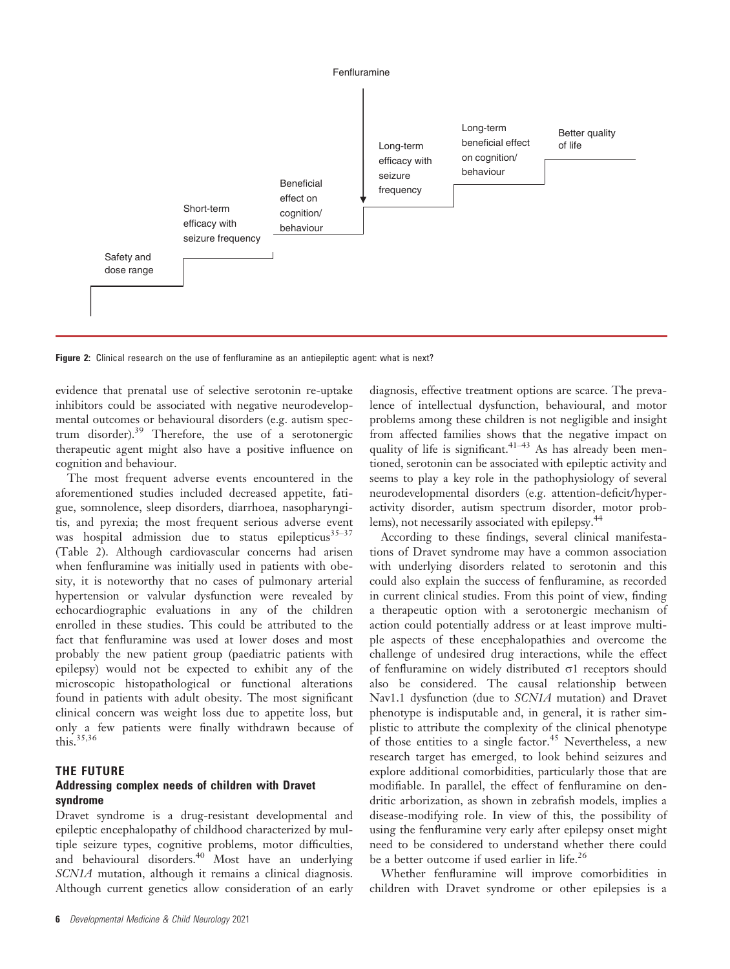

Figure 2: Clinical research on the use of fenfluramine as an antiepileptic agent: what is next?

evidence that prenatal use of selective serotonin re-uptake inhibitors could be associated with negative neurodevelopmental outcomes or behavioural disorders (e.g. autism spectrum disorder).39 Therefore, the use of a serotonergic therapeutic agent might also have a positive influence on cognition and behaviour.

The most frequent adverse events encountered in the aforementioned studies included decreased appetite, fatigue, somnolence, sleep disorders, diarrhoea, nasopharyngitis, and pyrexia; the most frequent serious adverse event was hospital admission due to status epilepticus $35-37$ (Table 2). Although cardiovascular concerns had arisen when fenfluramine was initially used in patients with obesity, it is noteworthy that no cases of pulmonary arterial hypertension or valvular dysfunction were revealed by echocardiographic evaluations in any of the children enrolled in these studies. This could be attributed to the fact that fenfluramine was used at lower doses and most probably the new patient group (paediatric patients with epilepsy) would not be expected to exhibit any of the microscopic histopathological or functional alterations found in patients with adult obesity. The most significant clinical concern was weight loss due to appetite loss, but only a few patients were finally withdrawn because of this. $35,36$ 

#### THE FUTURE

#### Addressing complex needs of children with Dravet syndrome

Dravet syndrome is a drug-resistant developmental and epileptic encephalopathy of childhood characterized by multiple seizure types, cognitive problems, motor difficulties, and behavioural disorders.<sup>40</sup> Most have an underlying SCN1A mutation, although it remains a clinical diagnosis. Although current genetics allow consideration of an early

6 Developmental Medicine & Child Neurology 2021

diagnosis, effective treatment options are scarce. The prevalence of intellectual dysfunction, behavioural, and motor problems among these children is not negligible and insight from affected families shows that the negative impact on quality of life is significant.  $41-43$  As has already been mentioned, serotonin can be associated with epileptic activity and seems to play a key role in the pathophysiology of several neurodevelopmental disorders (e.g. attention-deficit/hyperactivity disorder, autism spectrum disorder, motor problems), not necessarily associated with epilepsy.<sup>44</sup>

According to these findings, several clinical manifestations of Dravet syndrome may have a common association with underlying disorders related to serotonin and this could also explain the success of fenfluramine, as recorded in current clinical studies. From this point of view, finding a therapeutic option with a serotonergic mechanism of action could potentially address or at least improve multiple aspects of these encephalopathies and overcome the challenge of undesired drug interactions, while the effect of fenfluramine on widely distributed  $\sigma$ 1 receptors should also be considered. The causal relationship between Nav1.1 dysfunction (due to SCN1A mutation) and Dravet phenotype is indisputable and, in general, it is rather simplistic to attribute the complexity of the clinical phenotype of those entities to a single factor.<sup>45</sup> Nevertheless, a new research target has emerged, to look behind seizures and explore additional comorbidities, particularly those that are modifiable. In parallel, the effect of fenfluramine on dendritic arborization, as shown in zebrafish models, implies a disease-modifying role. In view of this, the possibility of using the fenfluramine very early after epilepsy onset might need to be considered to understand whether there could be a better outcome if used earlier in life.<sup>26</sup>

Whether fenfluramine will improve comorbidities in children with Dravet syndrome or other epilepsies is a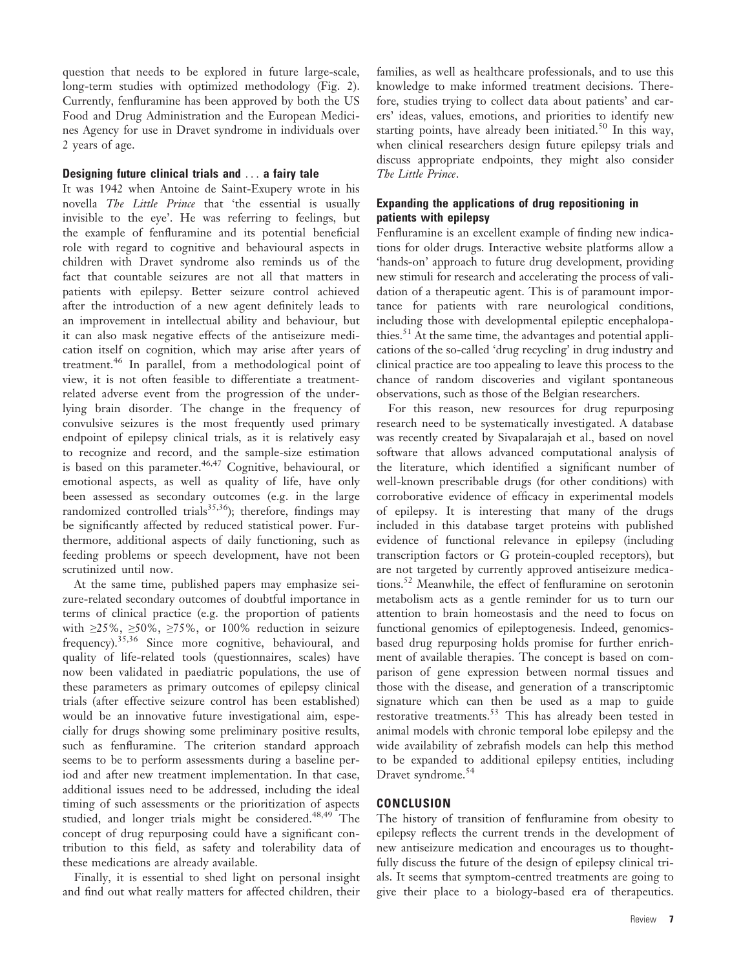question that needs to be explored in future large-scale, long-term studies with optimized methodology (Fig. 2). Currently, fenfluramine has been approved by both the US Food and Drug Administration and the European Medicines Agency for use in Dravet syndrome in individuals over 2 years of age.

#### Designing future clinical trials and ... a fairy tale

It was 1942 when Antoine de Saint-Exupery wrote in his novella The Little Prince that 'the essential is usually invisible to the eye'. He was referring to feelings, but the example of fenfluramine and its potential beneficial role with regard to cognitive and behavioural aspects in children with Dravet syndrome also reminds us of the fact that countable seizures are not all that matters in patients with epilepsy. Better seizure control achieved after the introduction of a new agent definitely leads to an improvement in intellectual ability and behaviour, but it can also mask negative effects of the antiseizure medication itself on cognition, which may arise after years of treatment.46 In parallel, from a methodological point of view, it is not often feasible to differentiate a treatmentrelated adverse event from the progression of the underlying brain disorder. The change in the frequency of convulsive seizures is the most frequently used primary endpoint of epilepsy clinical trials, as it is relatively easy to recognize and record, and the sample-size estimation is based on this parameter.<sup>46,47</sup> Cognitive, behavioural, or emotional aspects, as well as quality of life, have only been assessed as secondary outcomes (e.g. in the large randomized controlled trials<sup>35,36</sup>); therefore, findings may be significantly affected by reduced statistical power. Furthermore, additional aspects of daily functioning, such as feeding problems or speech development, have not been scrutinized until now.

At the same time, published papers may emphasize seizure-related secondary outcomes of doubtful importance in terms of clinical practice (e.g. the proportion of patients with  $\geq$ 25%,  $\geq$ 50%,  $\geq$ 75%, or 100% reduction in seizure frequency).35,36 Since more cognitive, behavioural, and quality of life-related tools (questionnaires, scales) have now been validated in paediatric populations, the use of these parameters as primary outcomes of epilepsy clinical trials (after effective seizure control has been established) would be an innovative future investigational aim, especially for drugs showing some preliminary positive results, such as fenfluramine. The criterion standard approach seems to be to perform assessments during a baseline period and after new treatment implementation. In that case, additional issues need to be addressed, including the ideal timing of such assessments or the prioritization of aspects studied, and longer trials might be considered.<sup>48,49</sup> The concept of drug repurposing could have a significant contribution to this field, as safety and tolerability data of these medications are already available.

Finally, it is essential to shed light on personal insight and find out what really matters for affected children, their

families, as well as healthcare professionals, and to use this knowledge to make informed treatment decisions. Therefore, studies trying to collect data about patients' and carers' ideas, values, emotions, and priorities to identify new starting points, have already been initiated.<sup>50</sup> In this way, when clinical researchers design future epilepsy trials and discuss appropriate endpoints, they might also consider The Little Prince.

#### Expanding the applications of drug repositioning in patients with epilepsy

Fenfluramine is an excellent example of finding new indications for older drugs. Interactive website platforms allow a 'hands-on' approach to future drug development, providing new stimuli for research and accelerating the process of validation of a therapeutic agent. This is of paramount importance for patients with rare neurological conditions, including those with developmental epileptic encephalopathies.<sup>51</sup> At the same time, the advantages and potential applications of the so-called 'drug recycling' in drug industry and clinical practice are too appealing to leave this process to the chance of random discoveries and vigilant spontaneous observations, such as those of the Belgian researchers.

For this reason, new resources for drug repurposing research need to be systematically investigated. A database was recently created by Sivapalarajah et al., based on novel software that allows advanced computational analysis of the literature, which identified a significant number of well-known prescribable drugs (for other conditions) with corroborative evidence of efficacy in experimental models of epilepsy. It is interesting that many of the drugs included in this database target proteins with published evidence of functional relevance in epilepsy (including transcription factors or G protein-coupled receptors), but are not targeted by currently approved antiseizure medications.<sup>52</sup> Meanwhile, the effect of fenfluramine on serotonin metabolism acts as a gentle reminder for us to turn our attention to brain homeostasis and the need to focus on functional genomics of epileptogenesis. Indeed, genomicsbased drug repurposing holds promise for further enrichment of available therapies. The concept is based on comparison of gene expression between normal tissues and those with the disease, and generation of a transcriptomic signature which can then be used as a map to guide restorative treatments.<sup>53</sup> This has already been tested in animal models with chronic temporal lobe epilepsy and the wide availability of zebrafish models can help this method to be expanded to additional epilepsy entities, including Dravet syndrome.<sup>54</sup>

#### **CONCLUSION**

The history of transition of fenfluramine from obesity to epilepsy reflects the current trends in the development of new antiseizure medication and encourages us to thoughtfully discuss the future of the design of epilepsy clinical trials. It seems that symptom-centred treatments are going to give their place to a biology-based era of therapeutics.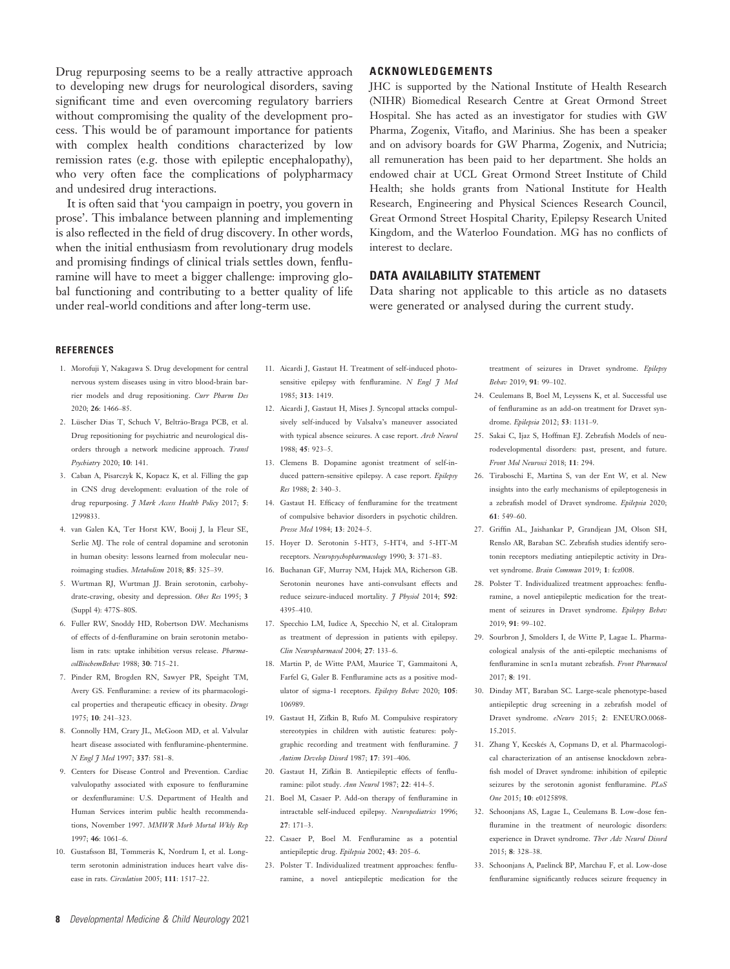Drug repurposing seems to be a really attractive approach to developing new drugs for neurological disorders, saving significant time and even overcoming regulatory barriers without compromising the quality of the development process. This would be of paramount importance for patients with complex health conditions characterized by low remission rates (e.g. those with epileptic encephalopathy), who very often face the complications of polypharmacy and undesired drug interactions.

It is often said that 'you campaign in poetry, you govern in prose'. This imbalance between planning and implementing is also reflected in the field of drug discovery. In other words, when the initial enthusiasm from revolutionary drug models and promising findings of clinical trials settles down, fenfluramine will have to meet a bigger challenge: improving global functioning and contributing to a better quality of life under real-world conditions and after long-term use.

#### ACKNOWLEDGEMENTS

JHC is supported by the National Institute of Health Research (NIHR) Biomedical Research Centre at Great Ormond Street Hospital. She has acted as an investigator for studies with GW Pharma, Zogenix, Vitaflo, and Marinius. She has been a speaker and on advisory boards for GW Pharma, Zogenix, and Nutricia; all remuneration has been paid to her department. She holds an endowed chair at UCL Great Ormond Street Institute of Child Health; she holds grants from National Institute for Health Research, Engineering and Physical Sciences Research Council, Great Ormond Street Hospital Charity, Epilepsy Research United Kingdom, and the Waterloo Foundation. MG has no conflicts of interest to declare.

#### DATA AVAILABILITY STATEMENT

Data sharing not applicable to this article as no datasets were generated or analysed during the current study.

#### **REFERENCES**

- 1. Morofuji Y, Nakagawa S. Drug development for central nervous system diseases using in vitro blood-brain barrier models and drug repositioning. Curr Pharm Des 2020; 26: 1466–85.
- 2. Lüscher Dias T, Schuch V, Beltrão-Braga PCB, et al. Drug repositioning for psychiatric and neurological disorders through a network medicine approach. Transl Psychiatry 2020; 10: 141.
- 3. Caban A, Pisarczyk K, Kopacz K, et al. Filling the gap in CNS drug development: evaluation of the role of drug repurposing. J Mark Access Health Policy 2017; 5: 1299833.
- 4. van Galen KA, Ter Horst KW, Booij J, la Fleur SE, Serlie MJ. The role of central dopamine and serotonin in human obesity: lessons learned from molecular neuroimaging studies. Metabolism 2018; 85: 325–39.
- 5. Wurtman RJ, Wurtman JJ. Brain serotonin, carbohydrate-craving, obesity and depression. Obes Res 1995; 3 (Suppl 4): 477S–80S.
- 6. Fuller RW, Snoddy HD, Robertson DW. Mechanisms of effects of d-fenfluramine on brain serotonin metabolism in rats: uptake inhibition versus release. PharmacolBiochemBehav 1988; 30: 715–21.
- 7. Pinder RM, Brogden RN, Sawyer PR, Speight TM, Avery GS. Fenfluramine: a review of its pharmacological properties and therapeutic efficacy in obesity. Drugs 1975; 10: 241–323.
- 8. Connolly HM, Crary JL, McGoon MD, et al. Valvular heart disease associated with fenfluramine-phentermine. N Engl 7 Med 1997; 337: 581-8.
- 9. Centers for Disease Control and Prevention. Cardiac valvulopathy associated with exposure to fenfluramine or dexfenfluramine: U.S. Department of Health and Human Services interim public health recommendations, November 1997. MMWR Morb Mortal Wkly Rep  $1997 \cdot 46 \cdot 1061 - 6$
- 10. Gustafsson BI, Tømmerås K, Nordrum I, et al. Longterm serotonin administration induces heart valve disease in rats. Circulation 2005; 111: 1517–22.
- 11. Aicardi J, Gastaut H. Treatment of self-induced photosensitive epilepsy with fenfluramine.  $N$  Engl  $\frac{3}{7}$  Med 1985; 313: 1419.
- 12. Aicardi J, Gastaut H, Mises J. Syncopal attacks compulsively self-induced by Valsalva's maneuver associated with typical absence seizures. A case report. Arch Neurol 1988; 45: 923–5.
- 13. Clemens B. Dopamine agonist treatment of self-induced pattern-sensitive epilepsy. A case report. Epilepsy  $R_{PS}$  1988; 2: 340-3.
- 14. Gastaut H. Efficacy of fenfluramine for the treatment of compulsive behavior disorders in psychotic children. Presse Med 1984; 13: 2024–5.
- 15. Hoyer D. Serotonin 5-HT3, 5-HT4, and 5-HT-M receptors. Neuropsychopharmacology 1990; 3: 371–83.
- 16. Buchanan GF, Murray NM, Hajek MA, Richerson GB. Serotonin neurones have anti-convulsant effects and reduce seizure-induced mortality. *J Physiol* 2014; 592: 4395–410.
- 17. Specchio LM, Iudice A, Specchio N, et al. Citalopram as treatment of depression in patients with epilepsy. Clin Neuropharmacol 2004; 27: 133–6.
- 18. Martin P, de Witte PAM, Maurice T, Gammaitoni A, Farfel G, Galer B. Fenfluramine acts as a positive modulator of sigma-1 receptors. Epilepsy Behav 2020; 105: 106989.
- 19. Gastaut H, Zifkin B, Rufo M. Compulsive respiratory stereotypies in children with autistic features: polygraphic recording and treatment with fenfluramine.  $\tilde{f}$ Autism Develop Disord 1987; 17: 391–406.
- 20. Gastaut H, Zifkin B. Antiepileptic effects of fenfluramine: pilot study. Ann Neurol 1987; 22: 414–5.
- 21. Boel M, Casaer P. Add-on therapy of fenfluramine in intractable self-induced epilepsy. Neuropediatrics 1996; 27: 171–3.
- 22. Casaer P, Boel M. Fenfluramine as a potential antiepileptic drug. Epilepsia 2002; 43: 205–6.
- 23. Polster T. Individualized treatment approaches: fenfluramine, a novel antiepileptic medication for the

treatment of seizures in Dravet syndrome. Epilepsy Behav 2019; 91: 99–102.

- 24. Ceulemans B, Boel M, Leyssens K, et al. Successful use of fenfluramine as an add-on treatment for Dravet syndrome. Epilepsia 2012; 53: 1131–9.
- 25. Sakai C, Ijaz S, Hoffman EJ. Zebrafish Models of neurodevelopmental disorders: past, present, and future. Front Mol Neurosci 2018; 11: 294.
- 26. Tiraboschi E, Martina S, van der Ent W, et al. New insights into the early mechanisms of epileptogenesis in a zebrafish model of Dravet syndrome. Epilepsia 2020; 61: 549–60.
- 27. Griffin AL, Jaishankar P, Grandjean JM, Olson SH, Renslo AR, Baraban SC. Zebrafish studies identify serotonin receptors mediating antiepileptic activity in Dravet syndrome. Brain Commun 2019; 1: fcz008.
- 28. Polster T. Individualized treatment approaches: fenfluramine, a novel antiepileptic medication for the treatment of seizures in Dravet syndrome. Epilepsy Behav 2019; 91: 99–102.
- 29. Sourbron J, Smolders I, de Witte P, Lagae L. Pharmacological analysis of the anti-epileptic mechanisms of fenfluramine in scn1a mutant zebrafish. Front Pharmacol 2017; 8: 191.
- 30. Dinday MT, Baraban SC. Large-scale phenotype-based antiepileptic drug screening in a zebrafish model of Dravet syndrome. eNeuro 2015; 2: ENEURO.0068- 15.2015.
- 31. Zhang Y, Kecskes A, Copmans D, et al. Pharmacological characterization of an antisense knockdown zebrafish model of Dravet syndrome: inhibition of epileptic seizures by the serotonin agonist fenfluramine. PLoS One 2015; 10: e0125898.
- 32. Schoonjans AS, Lagae L, Ceulemans B. Low-dose fenfluramine in the treatment of neurologic disorders: experience in Dravet syndrome. Ther Adv Neurol Disord 2015; 8: 328–38.
- 33. Schoonjans A, Paelinck BP, Marchau F, et al. Low-dose fenfluramine significantly reduces seizure frequency in